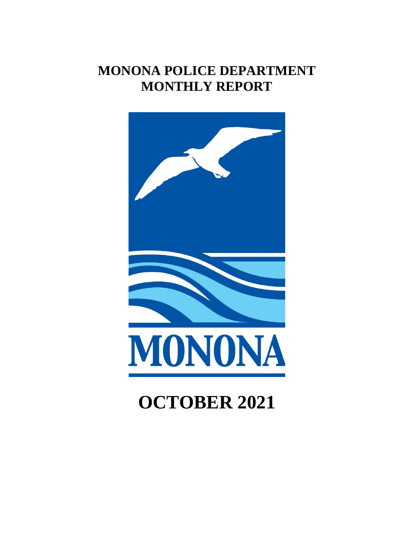# **MONONA POLICE DEPARTMENT MONTHLY REPORT**



# **OCTOBER 2021**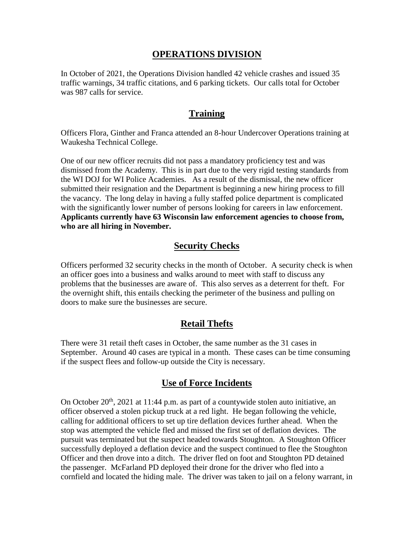## **OPERATIONS DIVISION**

In October of 2021, the Operations Division handled 42 vehicle crashes and issued 35 traffic warnings, 34 traffic citations, and 6 parking tickets. Our calls total for October was 987 calls for service.

### **Training**

Officers Flora, Ginther and Franca attended an 8-hour Undercover Operations training at Waukesha Technical College.

One of our new officer recruits did not pass a mandatory proficiency test and was dismissed from the Academy. This is in part due to the very rigid testing standards from the WI DOJ for WI Police Academies. As a result of the dismissal, the new officer submitted their resignation and the Department is beginning a new hiring process to fill the vacancy. The long delay in having a fully staffed police department is complicated with the significantly lower number of persons looking for careers in law enforcement. **Applicants currently have 63 Wisconsin law enforcement agencies to choose from, who are all hiring in November.**

# **Security Checks**

Officers performed 32 security checks in the month of October. A security check is when an officer goes into a business and walks around to meet with staff to discuss any problems that the businesses are aware of. This also serves as a deterrent for theft. For the overnight shift, this entails checking the perimeter of the business and pulling on doors to make sure the businesses are secure.

# **Retail Thefts**

There were 31 retail theft cases in October, the same number as the 31 cases in September. Around 40 cases are typical in a month. These cases can be time consuming if the suspect flees and follow-up outside the City is necessary.

# **Use of Force Incidents**

On October  $20<sup>th</sup>$ ,  $2021$  at 11:44 p.m. as part of a countywide stolen auto initiative, an officer observed a stolen pickup truck at a red light. He began following the vehicle, calling for additional officers to set up tire deflation devices further ahead. When the stop was attempted the vehicle fled and missed the first set of deflation devices. The pursuit was terminated but the suspect headed towards Stoughton. A Stoughton Officer successfully deployed a deflation device and the suspect continued to flee the Stoughton Officer and then drove into a ditch. The driver fled on foot and Stoughton PD detained the passenger. McFarland PD deployed their drone for the driver who fled into a cornfield and located the hiding male. The driver was taken to jail on a felony warrant, in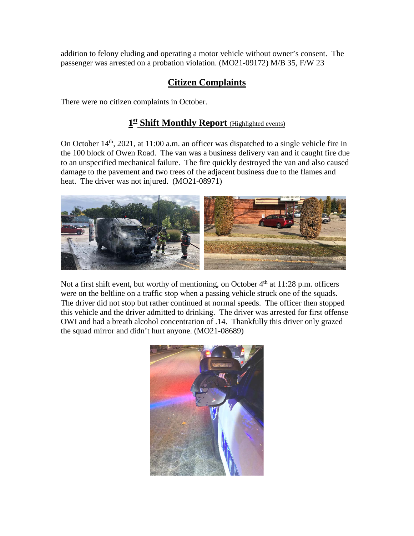addition to felony eluding and operating a motor vehicle without owner's consent. The passenger was arrested on a probation violation. (MO21-09172) M/B 35, F/W 23

# **Citizen Complaints**

There were no citizen complaints in October.

# **1st Shift Monthly Report** (Highlighted events)

On October 14th, 2021, at 11:00 a.m. an officer was dispatched to a single vehicle fire in the 100 block of Owen Road. The van was a business delivery van and it caught fire due to an unspecified mechanical failure. The fire quickly destroyed the van and also caused damage to the pavement and two trees of the adjacent business due to the flames and heat. The driver was not injured. (MO21-08971)



Not a first shift event, but worthy of mentioning, on October 4<sup>th</sup> at 11:28 p.m. officers were on the beltline on a traffic stop when a passing vehicle struck one of the squads. The driver did not stop but rather continued at normal speeds. The officer then stopped this vehicle and the driver admitted to drinking. The driver was arrested for first offense OWI and had a breath alcohol concentration of .14. Thankfully this driver only grazed the squad mirror and didn't hurt anyone. (MO21-08689)

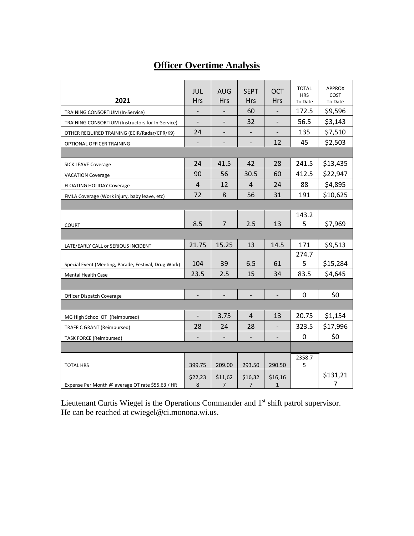# **Officer Overtime Analysis**

| 2021                                                 | JUL<br><b>Hrs</b>            | <b>AUG</b><br><b>Hrs</b>     | <b>SEPT</b><br><b>Hrs</b> | <b>OCT</b><br>Hrs        | <b>TOTAL</b><br><b>HRS</b><br>To Date | <b>APPROX</b><br>COST<br>To Date |
|------------------------------------------------------|------------------------------|------------------------------|---------------------------|--------------------------|---------------------------------------|----------------------------------|
| TRAINING CONSORTIUM (In-Service)                     |                              |                              | 60                        |                          | 172.5                                 | \$9,596                          |
| TRAINING CONSORTIUM (Instructors for In-Service)     | $\qquad \qquad -$            | $\qquad \qquad \blacksquare$ | 32                        | $\qquad \qquad -$        | 56.5                                  | \$3,143                          |
| OTHER REQUIRED TRAINING (ECIR/Radar/CPR/K9)          | 24                           |                              |                           |                          | 135                                   | \$7,510                          |
| OPTIONAL OFFICER TRAINING                            | $\overline{\phantom{a}}$     | $\qquad \qquad \blacksquare$ | $\overline{\phantom{m}}$  | 12                       | 45                                    | \$2,503                          |
|                                                      |                              |                              |                           |                          |                                       |                                  |
| <b>SICK LEAVE Coverage</b>                           | 24                           | 41.5                         | 42                        | 28                       | 241.5                                 | \$13,435                         |
| <b>VACATION Coverage</b>                             | 90                           | 56                           | 30.5                      | 60                       | 412.5                                 | \$22,947                         |
| <b>FLOATING HOLIDAY Coverage</b>                     | $\overline{4}$               | 12                           | 4                         | 24                       | 88                                    | \$4,895                          |
| FMLA Coverage (Work injury, baby leave, etc)         | 72                           | 8                            | 56                        | 31                       | 191                                   | \$10,625                         |
|                                                      |                              |                              |                           |                          |                                       |                                  |
|                                                      |                              |                              |                           |                          | 143.2                                 |                                  |
| <b>COURT</b>                                         | 8.5                          | $\overline{7}$               | 2.5                       | 13                       | 5                                     | \$7,969                          |
|                                                      |                              |                              |                           |                          |                                       |                                  |
| LATE/EARLY CALL or SERIOUS INCIDENT                  | 21.75                        | 15.25                        | 13                        | 14.5                     | 171                                   | \$9,513                          |
|                                                      |                              |                              |                           |                          | 274.7                                 |                                  |
| Special Event (Meeting, Parade, Festival, Drug Work) | 104                          | 39                           | 6.5                       | 61                       | 5                                     | \$15,284                         |
| <b>Mental Health Case</b>                            | 23.5                         | 2.5                          | 15                        | 34                       | 83.5                                  | \$4,645                          |
|                                                      |                              |                              |                           |                          |                                       |                                  |
| Officer Dispatch Coverage                            | $\qquad \qquad \blacksquare$ |                              | $\overline{\phantom{a}}$  | $\overline{\phantom{a}}$ | 0                                     | \$0                              |
|                                                      |                              |                              |                           |                          |                                       |                                  |
| MG High School OT (Reimbursed)                       | $\qquad \qquad -$            | 3.75                         | $\overline{4}$            | 13                       | 20.75                                 | \$1,154                          |
| TRAFFIC GRANT (Reimbursed)                           | 28                           | 24                           | 28                        |                          | 323.5                                 | \$17,996                         |
| <b>TASK FORCE (Reimbursed)</b>                       | $\overline{\phantom{a}}$     | $\overline{\phantom{a}}$     | $\overline{\phantom{a}}$  | $\overline{\phantom{a}}$ | $\mathbf 0$                           | \$0                              |
|                                                      |                              |                              |                           |                          |                                       |                                  |
|                                                      | 399.75                       | 209.00                       | 293.50                    | 290.50                   | 2358.7<br>5                           |                                  |
| <b>TOTAL HRS</b>                                     |                              |                              |                           |                          |                                       | \$131,21                         |
| Expense Per Month @ average OT rate \$55.63 / HR     | \$22,23<br>8                 | \$11,62<br>7                 | \$16,32<br>7              | \$16,16<br>$\mathbf{1}$  |                                       | 7                                |

Lieutenant Curtis Wiegel is the Operations Commander and 1<sup>st</sup> shift patrol supervisor. He can be reached at <u>cwiegel@ci.monona.wi.us</u>.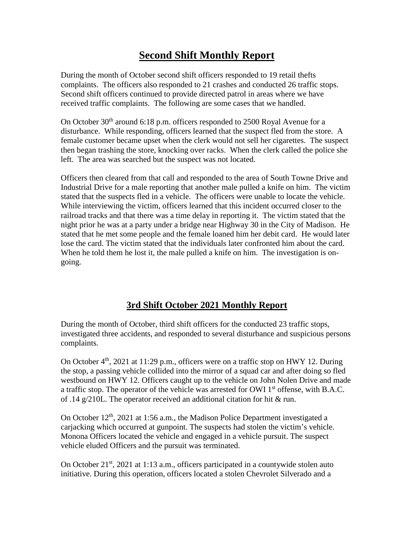# **Second Shift Monthly Report**

During the month of October second shift officers responded to 19 retail thefts complaints. The officers also responded to 21 crashes and conducted 26 traffic stops. Second shift officers continued to provide directed patrol in areas where we have received traffic complaints. The following are some cases that we handled.

On October  $30<sup>th</sup>$  around 6:18 p.m. officers responded to 2500 Royal Avenue for a disturbance. While responding, officers learned that the suspect fled from the store. A female customer became upset when the clerk would not sell her cigarettes. The suspect then began trashing the store, knocking over racks. When the clerk called the police she left. The area was searched but the suspect was not located.

Officers then cleared from that call and responded to the area of South Towne Drive and Industrial Drive for a male reporting that another male pulled a knife on him. The victim stated that the suspects fled in a vehicle. The officers were unable to locate the vehicle. While interviewing the victim, officers learned that this incident occurred closer to the railroad tracks and that there was a time delay in reporting it. The victim stated that the night prior he was at a party under a bridge near Highway 30 in the City of Madison. He stated that he met some people and the female loaned him her debit card. He would later lose the card. The victim stated that the individuals later confronted him about the card. When he told them he lost it, the male pulled a knife on him. The investigation is ongoing.

# **3rd Shift October 2021 Monthly Report**

During the month of October, third shift officers for the conducted 23 traffic stops, investigated three accidents, and responded to several disturbance and suspicious persons complaints.

On October  $4<sup>th</sup>$ , 2021 at 11:29 p.m., officers were on a traffic stop on HWY 12. During the stop, a passing vehicle collided into the mirror of a squad car and after doing so fled westbound on HWY 12. Officers caught up to the vehicle on John Nolen Drive and made a traffic stop. The operator of the vehicle was arrested for OWI  $1<sup>st</sup>$  offense, with B.A.C. of .14 g/210L. The operator received an additional citation for hit & run.

On October  $12<sup>th</sup>$ , 2021 at 1:56 a.m., the Madison Police Department investigated a carjacking which occurred at gunpoint. The suspects had stolen the victim's vehicle. Monona Officers located the vehicle and engaged in a vehicle pursuit. The suspect vehicle eluded Officers and the pursuit was terminated.

On October  $21^{st}$ , 2021 at 1:13 a.m., officers participated in a countywide stolen auto initiative. During this operation, officers located a stolen Chevrolet Silverado and a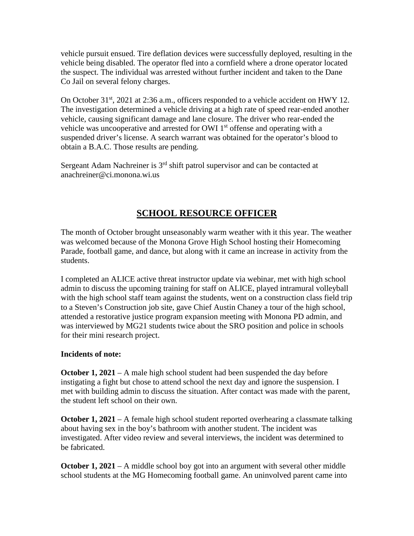vehicle pursuit ensued. Tire deflation devices were successfully deployed, resulting in the vehicle being disabled. The operator fled into a cornfield where a drone operator located the suspect. The individual was arrested without further incident and taken to the Dane Co Jail on several felony charges.

On October 31<sup>st</sup>, 2021 at 2:36 a.m., officers responded to a vehicle accident on HWY 12. The investigation determined a vehicle driving at a high rate of speed rear-ended another vehicle, causing significant damage and lane closure. The driver who rear-ended the vehicle was uncooperative and arrested for OWI  $1<sup>st</sup>$  offense and operating with a suspended driver's license. A search warrant was obtained for the operator's blood to obtain a B.A.C. Those results are pending.

Sergeant Adam Nachreiner is 3<sup>rd</sup> shift patrol supervisor and can be contacted at anachreiner@ci.monona.wi.us

# **SCHOOL RESOURCE OFFICER**

The month of October brought unseasonably warm weather with it this year. The weather was welcomed because of the Monona Grove High School hosting their Homecoming Parade, football game, and dance, but along with it came an increase in activity from the students.

I completed an ALICE active threat instructor update via webinar, met with high school admin to discuss the upcoming training for staff on ALICE, played intramural volleyball with the high school staff team against the students, went on a construction class field trip to a Steven's Construction job site, gave Chief Austin Chaney a tour of the high school, attended a restorative justice program expansion meeting with Monona PD admin, and was interviewed by MG21 students twice about the SRO position and police in schools for their mini research project.

#### **Incidents of note:**

**October 1, 2021** – A male high school student had been suspended the day before instigating a fight but chose to attend school the next day and ignore the suspension. I met with building admin to discuss the situation. After contact was made with the parent, the student left school on their own.

**October 1, 2021** – A female high school student reported overhearing a classmate talking about having sex in the boy's bathroom with another student. The incident was investigated. After video review and several interviews, the incident was determined to be fabricated.

**October 1, 2021** – A middle school boy got into an argument with several other middle school students at the MG Homecoming football game. An uninvolved parent came into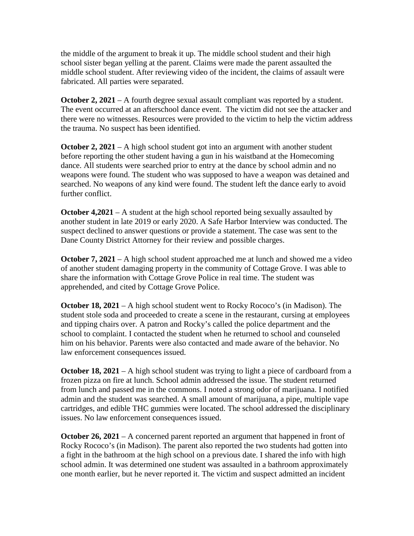the middle of the argument to break it up. The middle school student and their high school sister began yelling at the parent. Claims were made the parent assaulted the middle school student. After reviewing video of the incident, the claims of assault were fabricated. All parties were separated.

**October 2, 2021** – A fourth degree sexual assault compliant was reported by a student. The event occurred at an afterschool dance event. The victim did not see the attacker and there were no witnesses. Resources were provided to the victim to help the victim address the trauma. No suspect has been identified.

**October 2, 2021** – A high school student got into an argument with another student before reporting the other student having a gun in his waistband at the Homecoming dance. All students were searched prior to entry at the dance by school admin and no weapons were found. The student who was supposed to have a weapon was detained and searched. No weapons of any kind were found. The student left the dance early to avoid further conflict.

**October 4,2021** – A student at the high school reported being sexually assaulted by another student in late 2019 or early 2020. A Safe Harbor Interview was conducted. The suspect declined to answer questions or provide a statement. The case was sent to the Dane County District Attorney for their review and possible charges.

**October 7, 2021** – A high school student approached me at lunch and showed me a video of another student damaging property in the community of Cottage Grove. I was able to share the information with Cottage Grove Police in real time. The student was apprehended, and cited by Cottage Grove Police.

**October 18, 2021** – A high school student went to Rocky Rococo's (in Madison). The student stole soda and proceeded to create a scene in the restaurant, cursing at employees and tipping chairs over. A patron and Rocky's called the police department and the school to complaint. I contacted the student when he returned to school and counseled him on his behavior. Parents were also contacted and made aware of the behavior. No law enforcement consequences issued.

**October 18, 2021** – A high school student was trying to light a piece of cardboard from a frozen pizza on fire at lunch. School admin addressed the issue. The student returned from lunch and passed me in the commons. I noted a strong odor of marijuana. I notified admin and the student was searched. A small amount of marijuana, a pipe, multiple vape cartridges, and edible THC gummies were located. The school addressed the disciplinary issues. No law enforcement consequences issued.

**October 26, 2021** – A concerned parent reported an argument that happened in front of Rocky Rococo's (in Madison). The parent also reported the two students had gotten into a fight in the bathroom at the high school on a previous date. I shared the info with high school admin. It was determined one student was assaulted in a bathroom approximately one month earlier, but he never reported it. The victim and suspect admitted an incident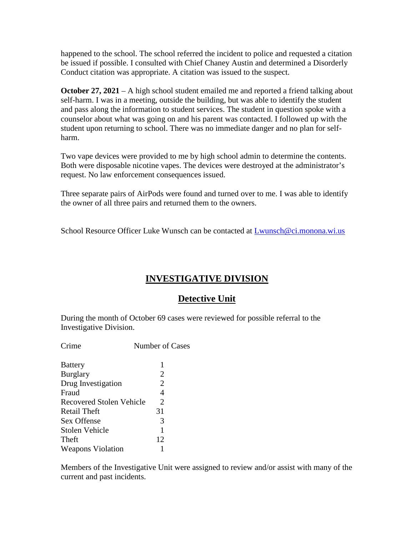happened to the school. The school referred the incident to police and requested a citation be issued if possible. I consulted with Chief Chaney Austin and determined a Disorderly Conduct citation was appropriate. A citation was issued to the suspect.

**October 27, 2021** – A high school student emailed me and reported a friend talking about self-harm. I was in a meeting, outside the building, but was able to identify the student and pass along the information to student services. The student in question spoke with a counselor about what was going on and his parent was contacted. I followed up with the student upon returning to school. There was no immediate danger and no plan for selfharm.

Two vape devices were provided to me by high school admin to determine the contents. Both were disposable nicotine vapes. The devices were destroyed at the administrator's request. No law enforcement consequences issued.

Three separate pairs of AirPods were found and turned over to me. I was able to identify the owner of all three pairs and returned them to the owners.

School Resource Officer Luke Wunsch can be contacted at [Lwunsch@ci.monona.wi.us](mailto:Lwunsch@ci.monona.wi.us)

# **INVESTIGATIVE DIVISION**

# **Detective Unit**

During the month of October 69 cases were reviewed for possible referral to the Investigative Division.

| Crime                           | Number of Cases       |
|---------------------------------|-----------------------|
| <b>Battery</b>                  | 1                     |
| <b>Burglary</b>                 | 2                     |
| Drug Investigation              | $\overline{2}$        |
| Fraud                           | 4                     |
| <b>Recovered Stolen Vehicle</b> | $\mathcal{D}_{\cdot}$ |
| Retail Theft                    | 31                    |
| Sex Offense                     | 3                     |
| <b>Stolen Vehicle</b>           | 1                     |
| Theft                           | 12                    |

Weapons Violation 1

Members of the Investigative Unit were assigned to review and/or assist with many of the current and past incidents.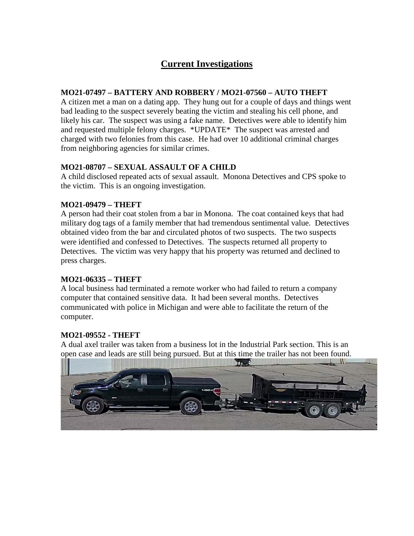# **Current Investigations**

#### **MO21-07497 – BATTERY AND ROBBERY / MO21-07560 – AUTO THEFT**

A citizen met a man on a dating app. They hung out for a couple of days and things went bad leading to the suspect severely beating the victim and stealing his cell phone, and likely his car. The suspect was using a fake name. Detectives were able to identify him and requested multiple felony charges. \*UPDATE\* The suspect was arrested and charged with two felonies from this case. He had over 10 additional criminal charges from neighboring agencies for similar crimes.

# **MO21-08707 – SEXUAL ASSAULT OF A CHILD**

A child disclosed repeated acts of sexual assault. Monona Detectives and CPS spoke to the victim. This is an ongoing investigation.

### **MO21-09479 – THEFT**

A person had their coat stolen from a bar in Monona. The coat contained keys that had military dog tags of a family member that had tremendous sentimental value. Detectives obtained video from the bar and circulated photos of two suspects. The two suspects were identified and confessed to Detectives. The suspects returned all property to Detectives. The victim was very happy that his property was returned and declined to press charges.

# **MO21-06335 – THEFT**

A local business had terminated a remote worker who had failed to return a company computer that contained sensitive data. It had been several months. Detectives communicated with police in Michigan and were able to facilitate the return of the computer.

# **MO21-09552 - THEFT**

A dual axel trailer was taken from a business lot in the Industrial Park section. This is an open case and leads are still being pursued. But at this time the trailer has not been found.

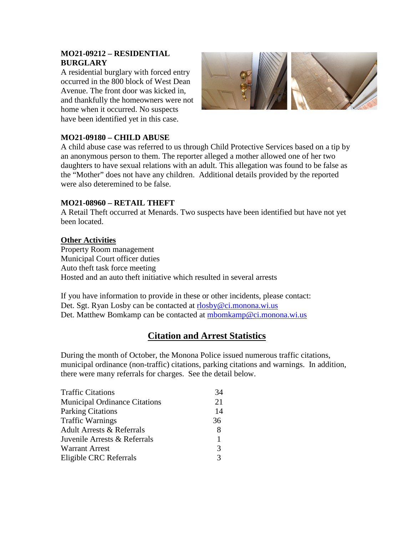#### **MO21-09212 – RESIDENTIAL BURGLARY**

A residential burglary with forced entry occurred in the 800 block of West Dean Avenue. The front door was kicked in, and thankfully the homeowners were not home when it occurred. No suspects have been identified yet in this case.



### **MO21-09180 – CHILD ABUSE**

A child abuse case was referred to us through Child Protective Services based on a tip by an anonymous person to them. The reporter alleged a mother allowed one of her two daughters to have sexual relations with an adult. This allegation was found to be false as the "Mother" does not have any children. Additional details provided by the reported were also deteremined to be false.

#### **MO21-08960 – RETAIL THEFT**

A Retail Theft occurred at Menards. Two suspects have been identified but have not yet been located.

#### **Other Activities**

Property Room management Municipal Court officer duties Auto theft task force meeting Hosted and an auto theft initiative which resulted in several arrests

If you have information to provide in these or other incidents, please contact: Det. Sgt. Ryan Losby can be contacted at [rlosby@ci.monona.wi.us](mailto:rlosby@ci.monona.wi.us) Det. Matthew Bomkamp can be contacted at [mbomkamp@ci.monona.wi.us](mailto:mbomkamp@ci.monona.wi.us)

# **Citation and Arrest Statistics**

During the month of October, the Monona Police issued numerous traffic citations, municipal ordinance (non-traffic) citations, parking citations and warnings. In addition, there were many referrals for charges. See the detail below.

| <b>Traffic Citations</b>             | 34 |
|--------------------------------------|----|
| <b>Municipal Ordinance Citations</b> | 21 |
| <b>Parking Citations</b>             | 14 |
| <b>Traffic Warnings</b>              | 36 |
| <b>Adult Arrests &amp; Referrals</b> | 8  |
| Juvenile Arrests & Referrals         | 1  |
| <b>Warrant Arrest</b>                | 3  |
| Eligible CRC Referrals               | 3  |